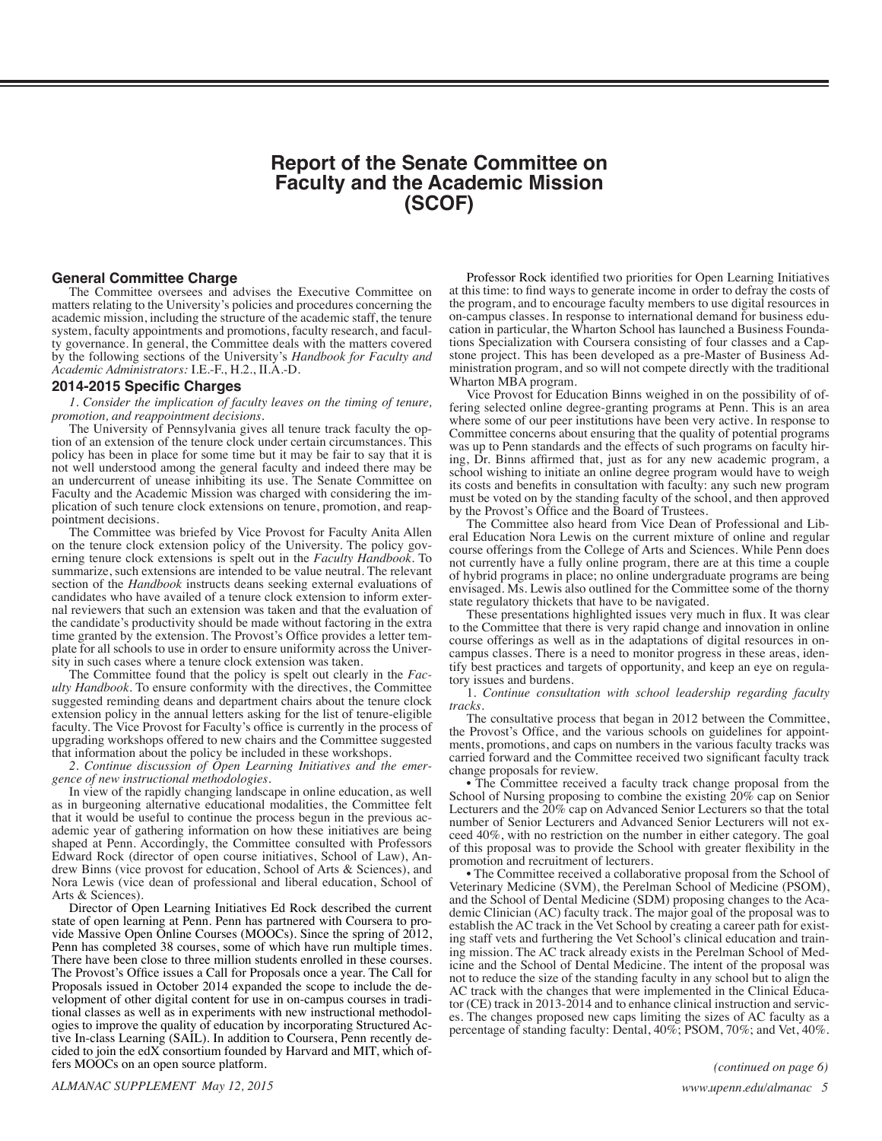# **Report of the Senate Committee on Faculty and the Academic Mission (SCOF)**

### <span id="page-0-0"></span>**General Committee Charge**

The Committee oversees and advises the Executive Committee on matters relating to the University's policies and procedures concerning the academic mission, including the structure of the academic staff, the tenure system, faculty appointments and promotions, faculty research, and faculty governance. In general, the Committee deals with the matters covered by the following sections of the University's *Handbook for Faculty and Academic Administrators:* I.E.-F., H.2., II.A.-D.

### **2014-2015 Specific Charges**

*1. Consider the implication of faculty leaves on the timing of tenure, promotion, and reappointment decisions.*

tion of an extension of the tenure clock under certain circumstances. This policy has been in place for some time but it may be fair to say that it is not well understood among the general faculty and indeed there may be an undercurrent of unease inhibiting its use. The Senate Committee on Faculty and the Academic Mission was charged with considering the implication of such tenure clock extensions on tenure, promotion, and reap-<br>pointment decisions.

The Committee was briefed by Vice Provost for Faculty Anita Allen on the tenure clock extension policy of the University. The policy gov- erning tenure clock extensions is spelt out in the *Faculty Handbook*. To summarize, such extensions are intended to be value neutral. The relevant section of the *Handbook* instructs deans seeking external evaluations of candidates who have availed of a tenure clock extension to inform external reviewers that such an extension was taken and that the evaluation of the candidate's productivity should be made without factoring in the extra time granted by the extension. The Provost's Office provides a letter tem- plate for all schools to use in order to ensure uniformity across the Univer- sity in such cases where a tenure clock extension was taken.

The Committee found that the policy is spelt out clearly in the *Fac- ulty Handbook*. To ensure conformity with the directives, the Committee suggested reminding deans and department chairs about the tenure clock extension policy in the annual letters asking for the list of tenure-eligible faculty. The Vice Provost for Faculty's office is currently in the process of upgrading workshops offered to new chairs and the Committee suggested that information about the policy be included in these workshops.

*2. Continue discussion of Open Learning Initiatives and the emer- gence of new instructional methodologies.* 

In view of the rapidly changing landscape in online education, as well as in burgeoning alternative educational modalities, the Committee felt that it would be useful to continue the process begun in the previous academic year of gathering information on how these initiatives are being shaped at Penn. Accordingly, the Committee consulted with Professors Edward Rock (director of open course initiatives, School of Law), Andrew Binns (vice provost for education, School of Arts & Sciences), and Nora Lewis (vice dean of professional and liberal education, School of Arts & Sciences).

Director of Open Learning Initiatives Ed Rock described the current state of open learning at Penn. Penn has partnered with Coursera to provide Massive Open Online Courses (MOOCs). Since the spring of 2012, Penn has completed 38 courses, some of which have run multiple times. There have been close to three million students enrolled in these courses. The Provost's Office issues a Call for Proposals once a year. The Call for velopment of other digital content for use in on-campus courses in traditional classes as well as in experiments with new instructional methodologies to improve the quality of education by incorporating Structured Active I cided to join the edX consortium founded by Harvard and MIT, which offers MOOCs on an open source platform.

Professor Rock identified two priorities for Open Learning Initiatives at this time: to find ways to generate income in order to defray the costs of the program, and to encourage faculty members to use digital resources in on-campus classes. In response to international demand for business education in particular, the Wharton School has launched a Business Foundations Specialization with Coursera consisting of four classes and a Capstone project. This has been developed as a pre-Master of Business Administration program, and so will not compete directly with the traditional Wharton MBA program.

Vice Provost for Education Binns weighed in on the possibility of offering selected online degree-granting programs at Penn. This is an area where some of our peer institutions have been very active. In response to Committee concerns about ensuring that the quality of potential programs was up to Penn standards and the effects of such programs on faculty hiring, Dr. Binns affirmed that, just as for any new academic program, a school wishing to initiate an online degree program would have to weigh its costs and benefits in consultation with faculty: any such new program must be voted on by the standing faculty of the school, and then approved by the Provost's Office and the Board of Trustees.

The Committee also heard from Vice Dean of Professional and Liberal Education Nora Lewis on the current mixture of online and regular course offerings from the College of Arts and Sciences. While Penn does not currently have a fully online program, there are at this time a couple of hybrid programs in place; no online undergraduate programs are being envisaged. Ms. Lewis also outlined for the Committee some of the thorny state regulatory thickets that have to be navigated.

These presentations highlighted issues very much in flux. It was clear to the Committee that there is very rapid change and innovation in online course offerings as well as in the adaptations of digital resources in oncampus classes. There is a need to monitor progress in these areas, identify best practices and targets of opportunity, and keep an eye on regulatory issues and burdens.

1. *Continue consultation with school leadership regarding faculty tracks.*

The consultative process that began in 2012 between the Committee, the Provost's Office, and the various schools on guidelines for appointments, promotions, and caps on numbers in the various faculty tracks was carried forward and the Committee received two significant faculty track change proposals for review.

• The Committee received a faculty track change proposal from the School of Nursing proposing to combine the existing 20% cap on Senior Lecturers and the 20% cap on Advanced Senior Lecturers so that the total number of Senior Lecturers and Advanced Senior Lecturers will not ex- ceed 40%, with no restriction on the number in either category. The goal of this proposal was to provide the School with greater flexibility in the promotion and recruitment of lecturers.

• The Committee received a collaborative proposal from the School of Veterinary Medicine (SVM), the Perelman School of Medicine (PSOM), and the School of Dental Medicine (SDM) proposing changes to the Acaand the School of Dental Medicine (SDM) proposing changes to the Aca-<br>demic Clinician (AC) faculty track. The major goal of the proposal was to establish the AC track in the Vet School by creating a career path for exist- ing staff vets and furthering the Vet School's clinical education and training mission. The AC track already exists in the Perelman School of Medicine and the School of Dental Medicine. The intent of the proposal was not to reduce the size of the standing faculty in any school but to align the AC track with the changes that were implemented in the Clinical Educator (CE) track in 2013-2014 and to enhance clinical instruction and services. The changes proposed new caps limiting the sizes of AC faculty as a percentage of standing faculty: Dental, 40%; PSOM, 70%; and Vet, 40%.

*[\(continued on page 6\)](#page-1-0)*

*ALMANAC SUPPLEMENT May 12, 2015 <www.upenn.edu/almanac>5*